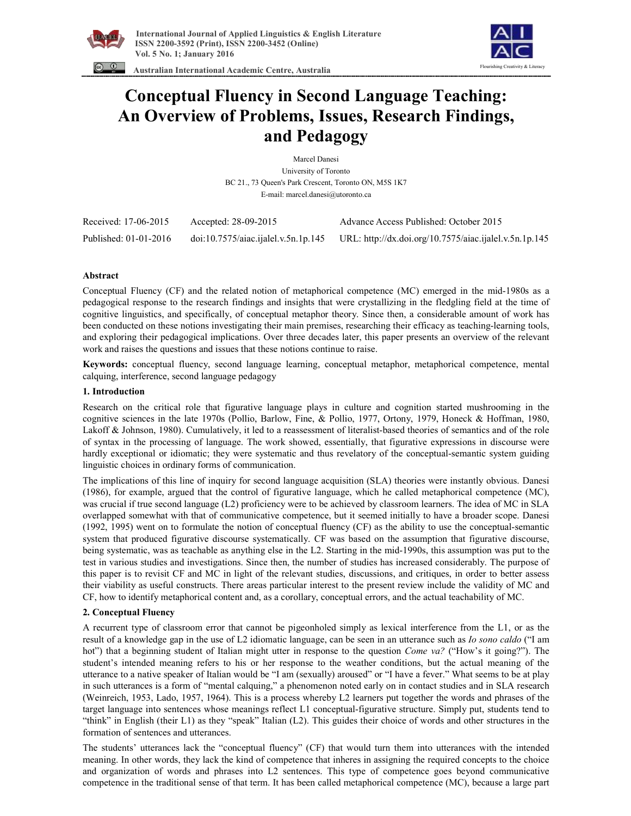



 **Australian International Academic Centre, Australia** 

# **Conceptual Fluency in Second Language Teaching: An Overview of Problems, Issues, Research Findings, and Pedagogy**

Marcel Danesi University of Toronto BC 21., 73 Queen's Park Crescent, Toronto ON, M5S 1K7 E-mail: marcel.danesi@utoronto.ca

| Received: 17-06-2015  | Accepted: 28-09-2015                | Advance Access Published: October 2015                 |
|-----------------------|-------------------------------------|--------------------------------------------------------|
| Published: 01-01-2016 | doi:10.7575/aiac.ijalel.v.5n.1p.145 | URL: http://dx.doi.org/10.7575/aiac.ijalel.v.5n.1p.145 |

## **Abstract**

Conceptual Fluency (CF) and the related notion of metaphorical competence (MC) emerged in the mid-1980s as a pedagogical response to the research findings and insights that were crystallizing in the fledgling field at the time of cognitive linguistics, and specifically, of conceptual metaphor theory. Since then, a considerable amount of work has been conducted on these notions investigating their main premises, researching their efficacy as teaching-learning tools, and exploring their pedagogical implications. Over three decades later, this paper presents an overview of the relevant work and raises the questions and issues that these notions continue to raise.

**Keywords:** conceptual fluency, second language learning, conceptual metaphor, metaphorical competence, mental calquing, interference, second language pedagogy

## **1. Introduction**

Research on the critical role that figurative language plays in culture and cognition started mushrooming in the cognitive sciences in the late 1970s (Pollio, Barlow, Fine, & Pollio, 1977, Ortony, 1979, Honeck & Hoffman, 1980, Lakoff & Johnson, 1980). Cumulatively, it led to a reassessment of literalist-based theories of semantics and of the role of syntax in the processing of language. The work showed, essentially, that figurative expressions in discourse were hardly exceptional or idiomatic; they were systematic and thus revelatory of the conceptual-semantic system guiding linguistic choices in ordinary forms of communication.

The implications of this line of inquiry for second language acquisition (SLA) theories were instantly obvious. Danesi (1986), for example, argued that the control of figurative language, which he called metaphorical competence (MC), was crucial if true second language (L2) proficiency were to be achieved by classroom learners. The idea of MC in SLA overlapped somewhat with that of communicative competence, but it seemed initially to have a broader scope. Danesi (1992, 1995) went on to formulate the notion of conceptual fluency (CF) as the ability to use the conceptual-semantic system that produced figurative discourse systematically. CF was based on the assumption that figurative discourse, being systematic, was as teachable as anything else in the L2. Starting in the mid-1990s, this assumption was put to the test in various studies and investigations. Since then, the number of studies has increased considerably. The purpose of this paper is to revisit CF and MC in light of the relevant studies, discussions, and critiques, in order to better assess their viability as useful constructs. There areas particular interest to the present review include the validity of MC and CF, how to identify metaphorical content and, as a corollary, conceptual errors, and the actual teachability of MC.

## **2. Conceptual Fluency**

A recurrent type of classroom error that cannot be pigeonholed simply as lexical interference from the L1, or as the result of a knowledge gap in the use of L2 idiomatic language, can be seen in an utterance such as *Io sono caldo* ("I am hot") that a beginning student of Italian might utter in response to the question *Come va?* ("How's it going?"). The student's intended meaning refers to his or her response to the weather conditions, but the actual meaning of the utterance to a native speaker of Italian would be "I am (sexually) aroused" or "I have a fever." What seems to be at play in such utterances is a form of "mental calquing," a phenomenon noted early on in contact studies and in SLA research (Weinreich, 1953, Lado, 1957, 1964). This is a process whereby L2 learners put together the words and phrases of the target language into sentences whose meanings reflect L1 conceptual-figurative structure. Simply put, students tend to "think" in English (their L1) as they "speak" Italian (L2). This guides their choice of words and other structures in the formation of sentences and utterances.

The students' utterances lack the "conceptual fluency" (CF) that would turn them into utterances with the intended meaning. In other words, they lack the kind of competence that inheres in assigning the required concepts to the choice and organization of words and phrases into L2 sentences. This type of competence goes beyond communicative competence in the traditional sense of that term. It has been called metaphorical competence (MC), because a large part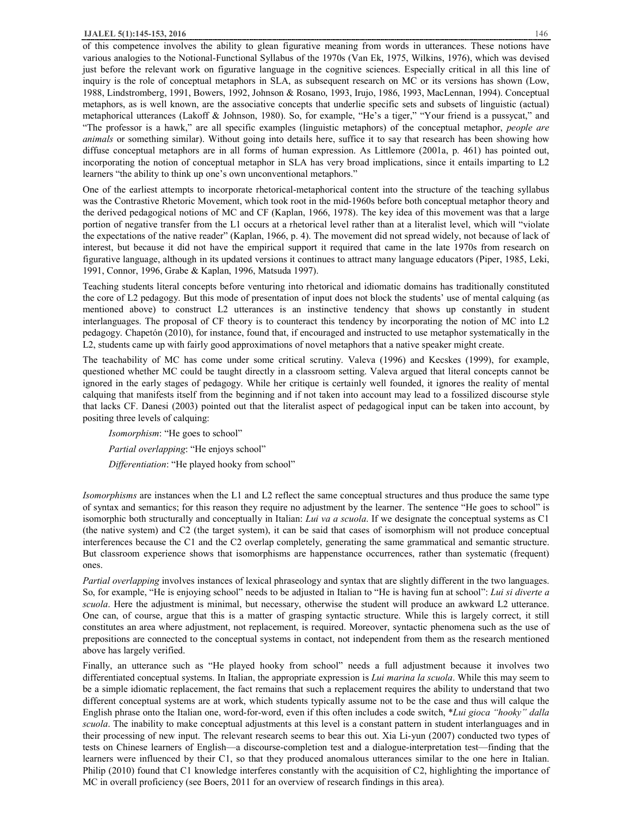#### **IJALEL 5(1):145-153, 2016** 146

of this competence involves the ability to glean figurative meaning from words in utterances. These notions have various analogies to the Notional-Functional Syllabus of the 1970s (Van Ek, 1975, Wilkins, 1976), which was devised just before the relevant work on figurative language in the cognitive sciences. Especially critical in all this line of inquiry is the role of conceptual metaphors in SLA, as subsequent research on MC or its versions has shown (Low, 1988, Lindstromberg, 1991, Bowers, 1992, Johnson & Rosano, 1993, Irujo, 1986, 1993, MacLennan, 1994). Conceptual metaphors, as is well known, are the associative concepts that underlie specific sets and subsets of linguistic (actual) metaphorical utterances (Lakoff & Johnson, 1980). So, for example, "He's a tiger," "Your friend is a pussycat," and "The professor is a hawk," are all specific examples (linguistic metaphors) of the conceptual metaphor, *people are animals* or something similar). Without going into details here, suffice it to say that research has been showing how diffuse conceptual metaphors are in all forms of human expression. As Littlemore (2001a, p. 461) has pointed out, incorporating the notion of conceptual metaphor in SLA has very broad implications, since it entails imparting to L2 learners "the ability to think up one's own unconventional metaphors."

One of the earliest attempts to incorporate rhetorical-metaphorical content into the structure of the teaching syllabus was the Contrastive Rhetoric Movement, which took root in the mid-1960s before both conceptual metaphor theory and the derived pedagogical notions of MC and CF (Kaplan, 1966, 1978). The key idea of this movement was that a large portion of negative transfer from the L1 occurs at a rhetorical level rather than at a literalist level, which will "violate the expectations of the native reader" (Kaplan, 1966, p. 4). The movement did not spread widely, not because of lack of interest, but because it did not have the empirical support it required that came in the late 1970s from research on figurative language, although in its updated versions it continues to attract many language educators (Piper, 1985, Leki, 1991, Connor, 1996, Grabe & Kaplan, 1996, Matsuda 1997).

Teaching students literal concepts before venturing into rhetorical and idiomatic domains has traditionally constituted the core of L2 pedagogy. But this mode of presentation of input does not block the students' use of mental calquing (as mentioned above) to construct L2 utterances is an instinctive tendency that shows up constantly in student interlanguages. The proposal of CF theory is to counteract this tendency by incorporating the notion of MC into L2 pedagogy. Chapetón (2010), for instance, found that, if encouraged and instructed to use metaphor systematically in the L2, students came up with fairly good approximations of novel metaphors that a native speaker might create.

The teachability of MC has come under some critical scrutiny. Valeva (1996) and Kecskes (1999), for example, questioned whether MC could be taught directly in a classroom setting. Valeva argued that literal concepts cannot be ignored in the early stages of pedagogy. While her critique is certainly well founded, it ignores the reality of mental calquing that manifests itself from the beginning and if not taken into account may lead to a fossilized discourse style that lacks CF. Danesi (2003) pointed out that the literalist aspect of pedagogical input can be taken into account, by positing three levels of calquing:

*Isomorphism*: "He goes to school" *Partial overlapping*: "He enjoys school"

*Differentiation*: "He played hooky from school"

*Isomorphisms* are instances when the L1 and L2 reflect the same conceptual structures and thus produce the same type of syntax and semantics; for this reason they require no adjustment by the learner. The sentence "He goes to school" is isomorphic both structurally and conceptually in Italian: *Lui va a scuola*. If we designate the conceptual systems as C1 (the native system) and C2 (the target system), it can be said that cases of isomorphism will not produce conceptual interferences because the C1 and the C2 overlap completely, generating the same grammatical and semantic structure. But classroom experience shows that isomorphisms are happenstance occurrences, rather than systematic (frequent) ones.

*Partial overlapping* involves instances of lexical phraseology and syntax that are slightly different in the two languages. So, for example, "He is enjoying school" needs to be adjusted in Italian to "He is having fun at school": *Lui si diverte a scuola*. Here the adjustment is minimal, but necessary, otherwise the student will produce an awkward L2 utterance. One can, of course, argue that this is a matter of grasping syntactic structure. While this is largely correct, it still constitutes an area where adjustment, not replacement, is required. Moreover, syntactic phenomena such as the use of prepositions are connected to the conceptual systems in contact, not independent from them as the research mentioned above has largely verified.

Finally, an utterance such as "He played hooky from school" needs a full adjustment because it involves two differentiated conceptual systems. In Italian, the appropriate expression is *Lui marina la scuola*. While this may seem to be a simple idiomatic replacement, the fact remains that such a replacement requires the ability to understand that two different conceptual systems are at work, which students typically assume not to be the case and thus will calque the English phrase onto the Italian one, word-for-word, even if this often includes a code switch, \**Lui gioca "hooky" dalla scuola*. The inability to make conceptual adjustments at this level is a constant pattern in student interlanguages and in their processing of new input. The relevant research seems to bear this out. Xia Li-yun (2007) conducted two types of tests on Chinese learners of English—a discourse-completion test and a dialogue-interpretation test—finding that the learners were influenced by their C1, so that they produced anomalous utterances similar to the one here in Italian. Philip (2010) found that C1 knowledge interferes constantly with the acquisition of C2, highlighting the importance of MC in overall proficiency (see Boers, 2011 for an overview of research findings in this area).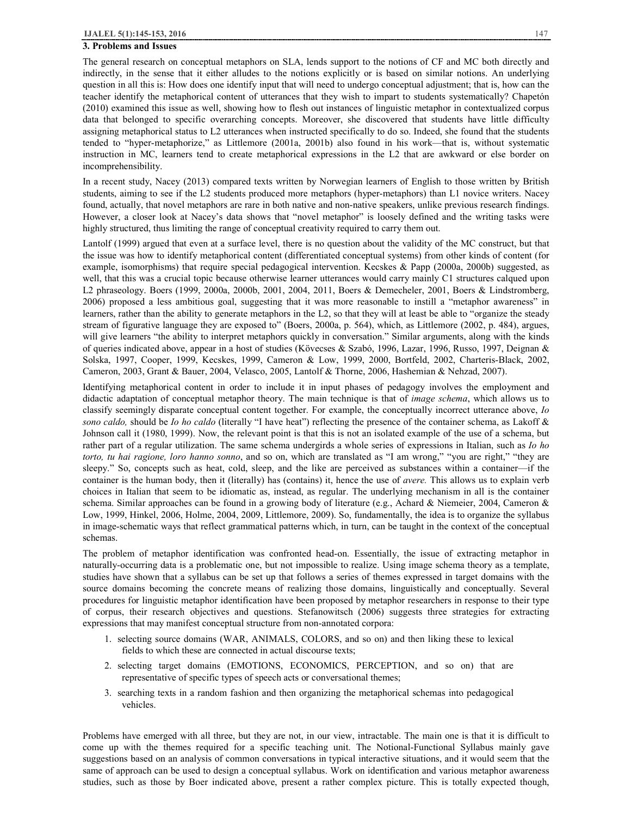#### **3. Problems and Issues**

The general research on conceptual metaphors on SLA, lends support to the notions of CF and MC both directly and indirectly, in the sense that it either alludes to the notions explicitly or is based on similar notions. An underlying question in all this is: How does one identify input that will need to undergo conceptual adjustment; that is, how can the teacher identify the metaphorical content of utterances that they wish to impart to students systematically? Chapetón (2010) examined this issue as well, showing how to flesh out instances of linguistic metaphor in contextualized corpus data that belonged to specific overarching concepts. Moreover, she discovered that students have little difficulty assigning metaphorical status to L2 utterances when instructed specifically to do so. Indeed, she found that the students tended to "hyper-metaphorize," as Littlemore (2001a, 2001b) also found in his work—that is, without systematic instruction in MC, learners tend to create metaphorical expressions in the L2 that are awkward or else border on incomprehensibility.

In a recent study, Nacey (2013) compared texts written by Norwegian learners of English to those written by British students, aiming to see if the L2 students produced more metaphors (hyper-metaphors) than L1 novice writers. Nacey found, actually, that novel metaphors are rare in both native and non-native speakers, unlike previous research findings. However, a closer look at Nacey's data shows that "novel metaphor" is loosely defined and the writing tasks were highly structured, thus limiting the range of conceptual creativity required to carry them out.

Lantolf (1999) argued that even at a surface level, there is no question about the validity of the MC construct, but that the issue was how to identify metaphorical content (differentiated conceptual systems) from other kinds of content (for example, isomorphisms) that require special pedagogical intervention. Kecskes & Papp (2000a, 2000b) suggested, as well, that this was a crucial topic because otherwise learner utterances would carry mainly C1 structures calqued upon L2 phraseology. Boers (1999, 2000a, 2000b, 2001, 2004, 2011, Boers & Demecheler, 2001, Boers & Lindstromberg, 2006) proposed a less ambitious goal, suggesting that it was more reasonable to instill a "metaphor awareness" in learners, rather than the ability to generate metaphors in the L2, so that they will at least be able to "organize the steady stream of figurative language they are exposed to" (Boers, 2000a, p. 564), which, as Littlemore (2002, p. 484), argues, will give learners "the ability to interpret metaphors quickly in conversation." Similar arguments, along with the kinds of queries indicated above, appear in a host of studies (Kövecses & Szabó, 1996, Lazar, 1996, Russo, 1997, Deignan & Solska, 1997, Cooper, 1999, Kecskes, 1999, Cameron & Low, 1999, 2000, Bortfeld, 2002, Charteris-Black, 2002, Cameron, 2003, Grant & Bauer, 2004, Velasco, 2005, Lantolf & Thorne, 2006, Hashemian & Nehzad, 2007).

Identifying metaphorical content in order to include it in input phases of pedagogy involves the employment and didactic adaptation of conceptual metaphor theory. The main technique is that of *image schema*, which allows us to classify seemingly disparate conceptual content together. For example, the conceptually incorrect utterance above, *Io sono caldo,* should be *Io ho caldo* (literally "I have heat") reflecting the presence of the container schema, as Lakoff & Johnson call it (1980, 1999). Now, the relevant point is that this is not an isolated example of the use of a schema, but rather part of a regular utilization. The same schema undergirds a whole series of expressions in Italian, such as *Io ho torto, tu hai ragione, loro hanno sonno*, and so on, which are translated as "I am wrong," "you are right," "they are sleepy." So, concepts such as heat, cold, sleep, and the like are perceived as substances within a container—if the container is the human body, then it (literally) has (contains) it, hence the use of *avere.* This allows us to explain verb choices in Italian that seem to be idiomatic as, instead, as regular. The underlying mechanism in all is the container schema. Similar approaches can be found in a growing body of literature (e.g., Achard & Niemeier, 2004, Cameron & Low, 1999, Hinkel, 2006, Holme, 2004, 2009, Littlemore, 2009). So, fundamentally, the idea is to organize the syllabus in image-schematic ways that reflect grammatical patterns which, in turn, can be taught in the context of the conceptual schemas.

The problem of metaphor identification was confronted head-on. Essentially, the issue of extracting metaphor in naturally-occurring data is a problematic one, but not impossible to realize. Using image schema theory as a template, studies have shown that a syllabus can be set up that follows a series of themes expressed in target domains with the source domains becoming the concrete means of realizing those domains, linguistically and conceptually. Several procedures for linguistic metaphor identification have been proposed by metaphor researchers in response to their type of corpus, their research objectives and questions. Stefanowitsch (2006) suggests three strategies for extracting expressions that may manifest conceptual structure from non-annotated corpora:

- 1. selecting source domains (WAR, ANIMALS, COLORS, and so on) and then liking these to lexical fields to which these are connected in actual discourse texts;
- 2. selecting target domains (EMOTIONS, ECONOMICS, PERCEPTION, and so on) that are representative of specific types of speech acts or conversational themes;
- 3. searching texts in a random fashion and then organizing the metaphorical schemas into pedagogical vehicles.

Problems have emerged with all three, but they are not, in our view, intractable. The main one is that it is difficult to come up with the themes required for a specific teaching unit. The Notional-Functional Syllabus mainly gave suggestions based on an analysis of common conversations in typical interactive situations, and it would seem that the same of approach can be used to design a conceptual syllabus. Work on identification and various metaphor awareness studies, such as those by Boer indicated above, present a rather complex picture. This is totally expected though,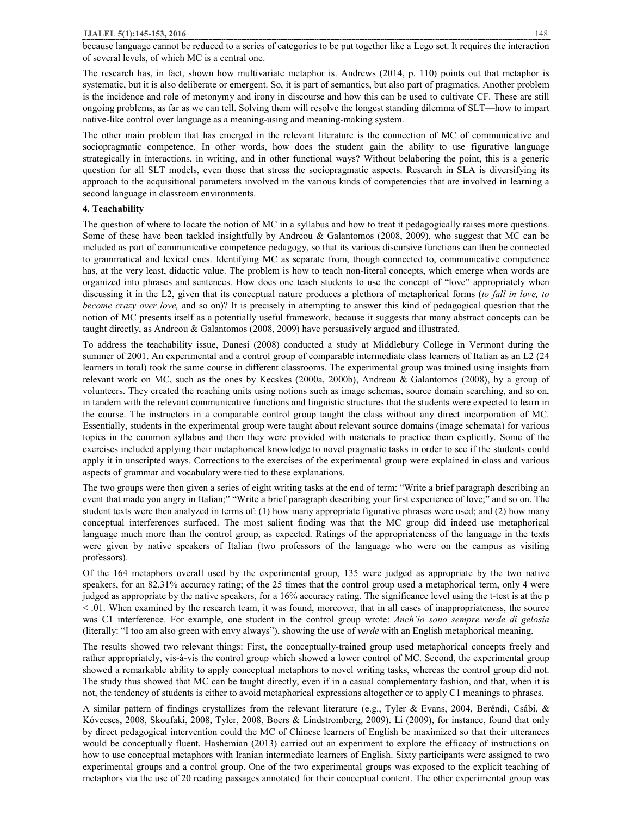because language cannot be reduced to a series of categories to be put together like a Lego set. It requires the interaction of several levels, of which MC is a central one.

The research has, in fact, shown how multivariate metaphor is. Andrews (2014, p. 110) points out that metaphor is systematic, but it is also deliberate or emergent. So, it is part of semantics, but also part of pragmatics. Another problem is the incidence and role of metonymy and irony in discourse and how this can be used to cultivate CF. These are still ongoing problems, as far as we can tell. Solving them will resolve the longest standing dilemma of SLT—how to impart native-like control over language as a meaning-using and meaning-making system.

The other main problem that has emerged in the relevant literature is the connection of MC of communicative and sociopragmatic competence. In other words, how does the student gain the ability to use figurative language strategically in interactions, in writing, and in other functional ways? Without belaboring the point, this is a generic question for all SLT models, even those that stress the sociopragmatic aspects. Research in SLA is diversifying its approach to the acquisitional parameters involved in the various kinds of competencies that are involved in learning a second language in classroom environments.

#### **4. Teachability**

The question of where to locate the notion of MC in a syllabus and how to treat it pedagogically raises more questions. Some of these have been tackled insightfully by Andreou & Galantomos (2008, 2009), who suggest that MC can be included as part of communicative competence pedagogy, so that its various discursive functions can then be connected to grammatical and lexical cues. Identifying MC as separate from, though connected to, communicative competence has, at the very least, didactic value. The problem is how to teach non-literal concepts, which emerge when words are organized into phrases and sentences. How does one teach students to use the concept of "love" appropriately when discussing it in the L2, given that its conceptual nature produces a plethora of metaphorical forms (*to fall in love, to become crazy over love,* and so on)? It is precisely in attempting to answer this kind of pedagogical question that the notion of MC presents itself as a potentially useful framework, because it suggests that many abstract concepts can be taught directly, as Andreou & Galantomos (2008, 2009) have persuasively argued and illustrated.

To address the teachability issue, Danesi (2008) conducted a study at Middlebury College in Vermont during the summer of 2001. An experimental and a control group of comparable intermediate class learners of Italian as an L2 (24 learners in total) took the same course in different classrooms. The experimental group was trained using insights from relevant work on MC, such as the ones by Kecskes (2000a, 2000b), Andreou & Galantomos (2008), by a group of volunteers. They created the reaching units using notions such as image schemas, source domain searching, and so on, in tandem with the relevant communicative functions and linguistic structures that the students were expected to learn in the course. The instructors in a comparable control group taught the class without any direct incorporation of MC. Essentially, students in the experimental group were taught about relevant source domains (image schemata) for various topics in the common syllabus and then they were provided with materials to practice them explicitly. Some of the exercises included applying their metaphorical knowledge to novel pragmatic tasks in order to see if the students could apply it in unscripted ways. Corrections to the exercises of the experimental group were explained in class and various aspects of grammar and vocabulary were tied to these explanations.

The two groups were then given a series of eight writing tasks at the end of term: "Write a brief paragraph describing an event that made you angry in Italian;" "Write a brief paragraph describing your first experience of love;" and so on. The student texts were then analyzed in terms of: (1) how many appropriate figurative phrases were used; and (2) how many conceptual interferences surfaced. The most salient finding was that the MC group did indeed use metaphorical language much more than the control group, as expected. Ratings of the appropriateness of the language in the texts were given by native speakers of Italian (two professors of the language who were on the campus as visiting professors).

Of the 164 metaphors overall used by the experimental group, 135 were judged as appropriate by the two native speakers, for an 82.31% accuracy rating; of the 25 times that the control group used a metaphorical term, only 4 were judged as appropriate by the native speakers, for a 16% accuracy rating. The significance level using the t-test is at the p < .01. When examined by the research team, it was found, moreover, that in all cases of inappropriateness, the source was C1 interference. For example, one student in the control group wrote: *Anch'io sono sempre verde di gelosia*  (literally: "I too am also green with envy always"), showing the use of *verde* with an English metaphorical meaning.

The results showed two relevant things: First, the conceptually-trained group used metaphorical concepts freely and rather appropriately, vis-à-vis the control group which showed a lower control of MC. Second, the experimental group showed a remarkable ability to apply conceptual metaphors to novel writing tasks, whereas the control group did not. The study thus showed that MC can be taught directly, even if in a casual complementary fashion, and that, when it is not, the tendency of students is either to avoid metaphorical expressions altogether or to apply C1 meanings to phrases.

A similar pattern of findings crystallizes from the relevant literature (e.g., Tyler & Evans, 2004, Beréndi, Csábi, & Kóvecses, 2008, Skoufaki, 2008, Tyler, 2008, Boers & Lindstromberg, 2009). Li (2009), for instance, found that only by direct pedagogical intervention could the MC of Chinese learners of English be maximized so that their utterances would be conceptually fluent. Hashemian (2013) carried out an experiment to explore the efficacy of instructions on how to use conceptual metaphors with Iranian intermediate learners of English. Sixty participants were assigned to two experimental groups and a control group. One of the two experimental groups was exposed to the explicit teaching of metaphors via the use of 20 reading passages annotated for their conceptual content. The other experimental group was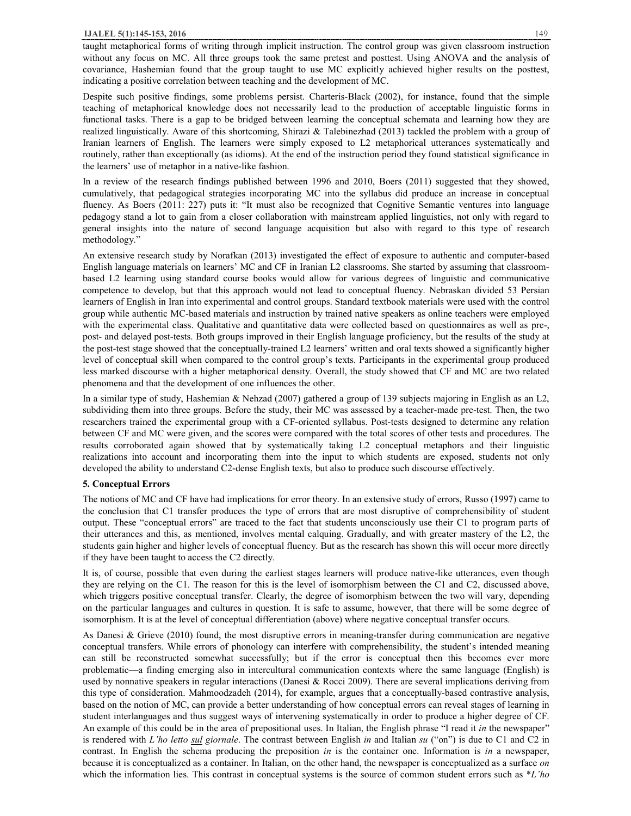taught metaphorical forms of writing through implicit instruction. The control group was given classroom instruction without any focus on MC. All three groups took the same pretest and posttest. Using ANOVA and the analysis of covariance, Hashemian found that the group taught to use MC explicitly achieved higher results on the posttest, indicating a positive correlation between teaching and the development of MC.

Despite such positive findings, some problems persist. Charteris-Black (2002), for instance, found that the simple teaching of metaphorical knowledge does not necessarily lead to the production of acceptable linguistic forms in functional tasks. There is a gap to be bridged between learning the conceptual schemata and learning how they are realized linguistically. Aware of this shortcoming, Shirazi & Talebinezhad (2013) tackled the problem with a group of Iranian learners of English. The learners were simply exposed to L2 metaphorical utterances systematically and routinely, rather than exceptionally (as idioms). At the end of the instruction period they found statistical significance in the learners' use of metaphor in a native-like fashion.

In a review of the research findings published between 1996 and 2010, Boers (2011) suggested that they showed, cumulatively, that pedagogical strategies incorporating MC into the syllabus did produce an increase in conceptual fluency. As Boers (2011: 227) puts it: "It must also be recognized that Cognitive Semantic ventures into language pedagogy stand a lot to gain from a closer collaboration with mainstream applied linguistics, not only with regard to general insights into the nature of second language acquisition but also with regard to this type of research methodology."

An extensive research study by Norafkan (2013) investigated the effect of exposure to authentic and computer-based English language materials on learners' MC and CF in Iranian L2 classrooms. She started by assuming that classroombased L2 learning using standard course books would allow for various degrees of linguistic and communicative competence to develop, but that this approach would not lead to conceptual fluency. Nebraskan divided 53 Persian learners of English in Iran into experimental and control groups. Standard textbook materials were used with the control group while authentic MC-based materials and instruction by trained native speakers as online teachers were employed with the experimental class. Qualitative and quantitative data were collected based on questionnaires as well as pre-, post- and delayed post-tests. Both groups improved in their English language proficiency, but the results of the study at the post-test stage showed that the conceptually-trained L2 learners' written and oral texts showed a significantly higher level of conceptual skill when compared to the control group's texts. Participants in the experimental group produced less marked discourse with a higher metaphorical density. Overall, the study showed that CF and MC are two related phenomena and that the development of one influences the other.

In a similar type of study, Hashemian & Nehzad (2007) gathered a group of 139 subjects majoring in English as an L2, subdividing them into three groups. Before the study, their MC was assessed by a teacher-made pre-test. Then, the two researchers trained the experimental group with a CF-oriented syllabus. Post-tests designed to determine any relation between CF and MC were given, and the scores were compared with the total scores of other tests and procedures. The results corroborated again showed that by systematically taking L2 conceptual metaphors and their linguistic realizations into account and incorporating them into the input to which students are exposed, students not only developed the ability to understand C2-dense English texts, but also to produce such discourse effectively.

#### **5. Conceptual Errors**

The notions of MC and CF have had implications for error theory. In an extensive study of errors, Russo (1997) came to the conclusion that C1 transfer produces the type of errors that are most disruptive of comprehensibility of student output. These "conceptual errors" are traced to the fact that students unconsciously use their C1 to program parts of their utterances and this, as mentioned, involves mental calquing. Gradually, and with greater mastery of the L2, the students gain higher and higher levels of conceptual fluency. But as the research has shown this will occur more directly if they have been taught to access the C2 directly.

It is, of course, possible that even during the earliest stages learners will produce native-like utterances, even though they are relying on the C1. The reason for this is the level of isomorphism between the C1 and C2, discussed above, which triggers positive conceptual transfer. Clearly, the degree of isomorphism between the two will vary, depending on the particular languages and cultures in question. It is safe to assume, however, that there will be some degree of isomorphism. It is at the level of conceptual differentiation (above) where negative conceptual transfer occurs.

As Danesi & Grieve (2010) found, the most disruptive errors in meaning-transfer during communication are negative conceptual transfers. While errors of phonology can interfere with comprehensibility, the student's intended meaning can still be reconstructed somewhat successfully; but if the error is conceptual then this becomes ever more problematic—a finding emerging also in intercultural communication contexts where the same language (English) is used by nonnative speakers in regular interactions (Danesi & Rocci 2009). There are several implications deriving from this type of consideration. Mahmoodzadeh (2014), for example, argues that a conceptually-based contrastive analysis, based on the notion of MC, can provide a better understanding of how conceptual errors can reveal stages of learning in student interlanguages and thus suggest ways of intervening systematically in order to produce a higher degree of CF. An example of this could be in the area of prepositional uses. In Italian, the English phrase "I read it *in* the newspaper" is rendered with *L'ho letto sul giornale*. The contrast between English *in* and Italian *su* ("on") is due to C1 and C2 in contrast. In English the schema producing the preposition *in* is the container one. Information is *in* a newspaper, because it is conceptualized as a container. In Italian, on the other hand, the newspaper is conceptualized as a surface *on*  which the information lies. This contrast in conceptual systems is the source of common student errors such as \**L'ho*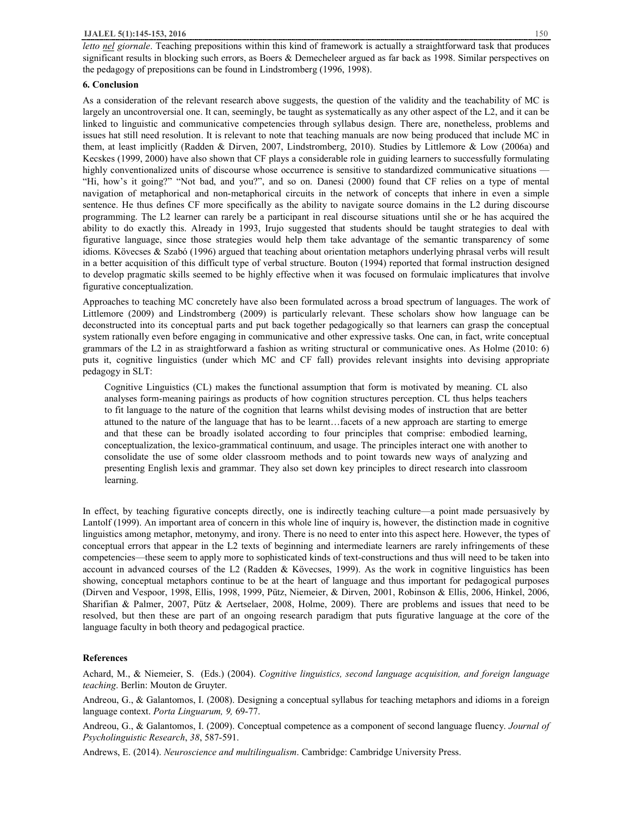*letto nel giornale*. Teaching prepositions within this kind of framework is actually a straightforward task that produces significant results in blocking such errors, as Boers & Demecheleer argued as far back as 1998. Similar perspectives on the pedagogy of prepositions can be found in Lindstromberg (1996, 1998).

## **6. Conclusion**

As a consideration of the relevant research above suggests, the question of the validity and the teachability of MC is largely an uncontroversial one. It can, seemingly, be taught as systematically as any other aspect of the L2, and it can be linked to linguistic and communicative competencies through syllabus design. There are, nonetheless, problems and issues hat still need resolution. It is relevant to note that teaching manuals are now being produced that include MC in them, at least implicitly (Radden & Dirven, 2007, Lindstromberg, 2010). Studies by Littlemore & Low (2006a) and Kecskes (1999, 2000) have also shown that CF plays a considerable role in guiding learners to successfully formulating highly conventionalized units of discourse whose occurrence is sensitive to standardized communicative situations — "Hi, how's it going?" "Not bad, and you?", and so on. Danesi (2000) found that CF relies on a type of mental navigation of metaphorical and non-metaphorical circuits in the network of concepts that inhere in even a simple sentence. He thus defines CF more specifically as the ability to navigate source domains in the L2 during discourse programming. The L2 learner can rarely be a participant in real discourse situations until she or he has acquired the ability to do exactly this. Already in 1993, Irujo suggested that students should be taught strategies to deal with figurative language, since those strategies would help them take advantage of the semantic transparency of some idioms. Kövecses & Szabó (1996) argued that teaching about orientation metaphors underlying phrasal verbs will result in a better acquisition of this difficult type of verbal structure. Bouton (1994) reported that formal instruction designed to develop pragmatic skills seemed to be highly effective when it was focused on formulaic implicatures that involve figurative conceptualization.

Approaches to teaching MC concretely have also been formulated across a broad spectrum of languages. The work of Littlemore (2009) and Lindstromberg (2009) is particularly relevant. These scholars show how language can be deconstructed into its conceptual parts and put back together pedagogically so that learners can grasp the conceptual system rationally even before engaging in communicative and other expressive tasks. One can, in fact, write conceptual grammars of the L2 in as straightforward a fashion as writing structural or communicative ones. As Holme (2010: 6) puts it, cognitive linguistics (under which MC and CF fall) provides relevant insights into devising appropriate pedagogy in SLT:

Cognitive Linguistics (CL) makes the functional assumption that form is motivated by meaning. CL also analyses form-meaning pairings as products of how cognition structures perception. CL thus helps teachers to fit language to the nature of the cognition that learns whilst devising modes of instruction that are better attuned to the nature of the language that has to be learnt…facets of a new approach are starting to emerge and that these can be broadly isolated according to four principles that comprise: embodied learning, conceptualization, the lexico-grammatical continuum, and usage. The principles interact one with another to consolidate the use of some older classroom methods and to point towards new ways of analyzing and presenting English lexis and grammar. They also set down key principles to direct research into classroom learning.

In effect, by teaching figurative concepts directly, one is indirectly teaching culture—a point made persuasively by Lantolf (1999). An important area of concern in this whole line of inquiry is, however, the distinction made in cognitive linguistics among metaphor, metonymy, and irony. There is no need to enter into this aspect here. However, the types of conceptual errors that appear in the L2 texts of beginning and intermediate learners are rarely infringements of these competencies—these seem to apply more to sophisticated kinds of text-constructions and thus will need to be taken into account in advanced courses of the L2 (Radden & Kövecses, 1999). As the work in cognitive linguistics has been showing, conceptual metaphors continue to be at the heart of language and thus important for pedagogical purposes (Dirven and Vespoor, 1998, Ellis, 1998, 1999, Pütz, Niemeier, & Dirven, 2001, Robinson & Ellis, 2006, Hinkel, 2006, Sharifian & Palmer, 2007, Pütz & Aertselaer, 2008, Holme, 2009). There are problems and issues that need to be resolved, but then these are part of an ongoing research paradigm that puts figurative language at the core of the language faculty in both theory and pedagogical practice.

#### **References**

Achard, M., & Niemeier, S. (Eds.) (2004). *Cognitive linguistics, second language acquisition, and foreign language teaching*. Berlin: Mouton de Gruyter.

Andreou, G., & Galantomos, I. (2008). Designing a conceptual syllabus for teaching metaphors and idioms in a foreign language context. *Porta Linguarum, 9,* 69-77.

Andreou, G., & Galantomos, I. (2009). Conceptual competence as a component of second language fluency. *Journal of Psycholinguistic Research*, *38*, 587-591.

Andrews, E. (2014). *Neuroscience and multilingualism*. Cambridge: Cambridge University Press.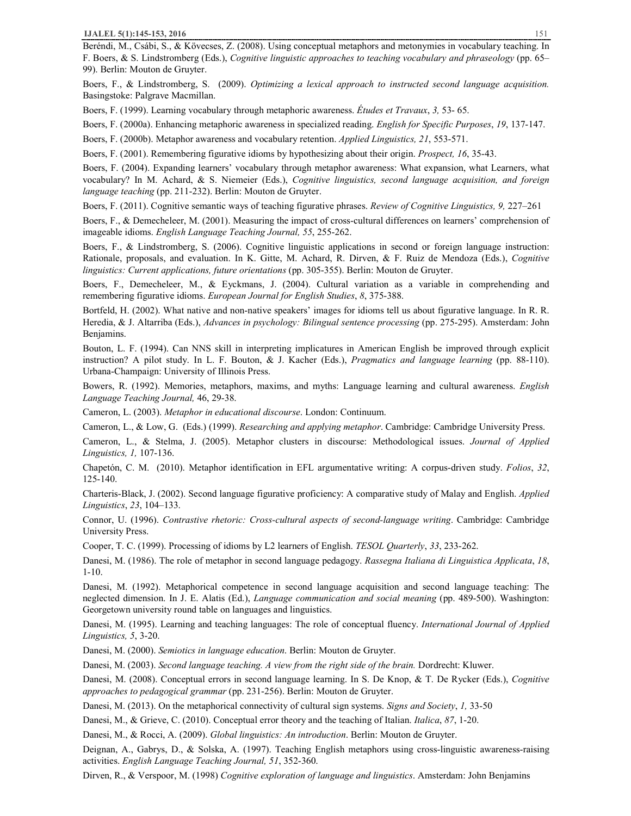Beréndi, M., Csábi, S., & Kövecses, Z. (2008). Using conceptual metaphors and metonymies in vocabulary teaching. In F. Boers, & S. Lindstromberg (Eds.), *Cognitive linguistic approaches to teaching vocabulary and phraseology* (pp. 65– 99). Berlin: Mouton de Gruyter.

Boers, F., & Lindstromberg, S. (2009). *Optimizing a lexical approach to instructed second language acquisition.*  Basingstoke: Palgrave Macmillan.

Boers, F. (1999). Learning vocabulary through metaphoric awareness. *Études et Travaux*, *3,* 53- 65.

Boers, F. (2000a). Enhancing metaphoric awareness in specialized reading. *English for Specific Purposes*, *19*, 137-147.

Boers, F. (2000b). Metaphor awareness and vocabulary retention. *Applied Linguistics, 21*, 553-571.

Boers, F. (2001). Remembering figurative idioms by hypothesizing about their origin. *Prospect, 16*, 35-43.

Boers, F. (2004). Expanding learners' vocabulary through metaphor awareness: What expansion, what Learners, what vocabulary? In M. Achard, & S. Niemeier (Eds.), *Cognitive linguistics, second language acquisition, and foreign language teaching* (pp. 211-232). Berlin: Mouton de Gruyter.

Boers, F. (2011). Cognitive semantic ways of teaching figurative phrases. *Review of Cognitive Linguistics, 9,* 227–261

Boers, F., & Demecheleer, M. (2001). Measuring the impact of cross-cultural differences on learners' comprehension of imageable idioms. *English Language Teaching Journal, 55*, 255-262.

Boers, F., & Lindstromberg, S. (2006). Cognitive linguistic applications in second or foreign language instruction: Rationale, proposals, and evaluation. In K. Gitte, M. Achard, R. Dirven, & F. Ruiz de Mendoza (Eds.), *Cognitive linguistics: Current applications, future orientations* (pp. 305-355). Berlin: Mouton de Gruyter.

Boers, F., Demecheleer, M., & Eyckmans, J. (2004). Cultural variation as a variable in comprehending and remembering figurative idioms. *European Journal for English Studies*, *8*, 375-388.

Bortfeld, H. (2002). What native and non-native speakers' images for idioms tell us about figurative language. In R. R. Heredia, & J. Altarriba (Eds.), *Advances in psychology: Bilingual sentence processing* (pp. 275-295). Amsterdam: John Benjamins.

Bouton, L. F. (1994). Can NNS skill in interpreting implicatures in American English be improved through explicit instruction? A pilot study. In L. F. Bouton, & J. Kacher (Eds.), *Pragmatics and language learning* (pp. 88-110). Urbana-Champaign: University of Illinois Press.

Bowers, R. (1992). Memories, metaphors, maxims, and myths: Language learning and cultural awareness. *English Language Teaching Journal,* 46, 29-38.

Cameron, L. (2003). *Metaphor in educational discourse*. London: Continuum.

Cameron, L., & Low, G. (Eds.) (1999). *Researching and applying metaphor*. Cambridge: Cambridge University Press.

Cameron, L., & Stelma, J. (2005). Metaphor clusters in discourse: Methodological issues. *Journal of Applied Linguistics, 1,* 107-136.

Chapetón, C. M. (2010). Metaphor identification in EFL argumentative writing: A corpus-driven study. *Folios*, *32*, 125-140.

Charteris-Black, J. (2002). Second language figurative proficiency: A comparative study of Malay and English. *Applied Linguistics*, *23*, 104–133.

Connor, U. (1996). *Contrastive rhetoric: Cross-cultural aspects of second-language writing*. Cambridge: Cambridge University Press.

Cooper, T. C. (1999). Processing of idioms by L2 learners of English. *TESOL Quarterly*, *33*, 233-262.

Danesi, M. (1986). The role of metaphor in second language pedagogy. *Rassegna Italiana di Linguistica Applicata*, *18*, 1-10.

Danesi, M. (1992). Metaphorical competence in second language acquisition and second language teaching: The neglected dimension. In J. E. Alatis (Ed.), *Language communication and social meaning* (pp. 489-500). Washington: Georgetown university round table on languages and linguistics.

Danesi, M. (1995). Learning and teaching languages: The role of conceptual fluency. *International Journal of Applied Linguistics, 5*, 3-20.

Danesi, M. (2000). *Semiotics in language education*. Berlin: Mouton de Gruyter.

Danesi, M. (2003). *Second language teaching. A view from the right side of the brain.* Dordrecht: Kluwer.

Danesi, M. (2008). Conceptual errors in second language learning. In S. De Knop, & T. De Rycker (Eds.), *Cognitive approaches to pedagogical grammar* (pp. 231-256). Berlin: Mouton de Gruyter.

Danesi, M. (2013). On the metaphorical connectivity of cultural sign systems. *Signs and Society*, *1,* 33-50

Danesi, M., & Grieve, C. (2010). Conceptual error theory and the teaching of Italian. *Italica*, *87*, 1-20.

Danesi, M., & Rocci, A. (2009). *Global linguistics: An introduction*. Berlin: Mouton de Gruyter.

Deignan, A., Gabrys, D., & Solska, A. (1997). Teaching English metaphors using cross-linguistic awareness-raising activities. *English Language Teaching Journal, 51*, 352-360.

Dirven, R., & Verspoor, M. (1998) *Cognitive exploration of language and linguistics*. Amsterdam: John Benjamins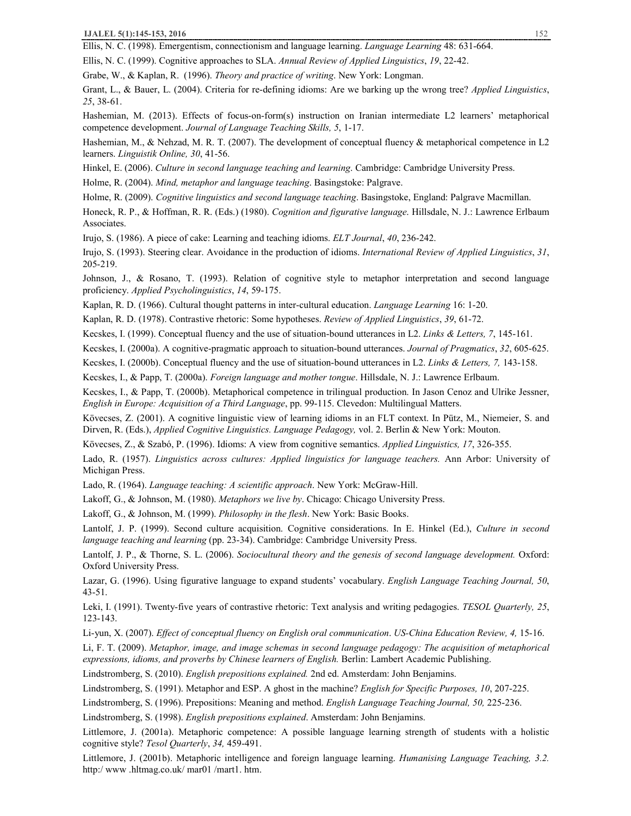Ellis, N. C. (1999). Cognitive approaches to SLA. *Annual Review of Applied Linguistics*, *19*, 22-42.

Grabe, W., & Kaplan, R. (1996). *Theory and practice of writing*. New York: Longman.

Grant, L., & Bauer, L. (2004). Criteria for re-defining idioms: Are we barking up the wrong tree? *Applied Linguistics*, *25*, 38-61.

Hashemian, M. (2013). Effects of focus-on-form(s) instruction on Iranian intermediate L2 learners' metaphorical competence development. *Journal of Language Teaching Skills, 5*, 1-17.

Hashemian, M., & Nehzad, M. R. T. (2007). The development of conceptual fluency & metaphorical competence in L2 learners. *Linguistik Online, 30*, 41-56.

Hinkel, E. (2006). *Culture in second language teaching and learning*. Cambridge: Cambridge University Press.

Holme, R. (2004). *Mind, metaphor and language teaching*. Basingstoke: Palgrave.

Holme, R. (2009). *Cognitive linguistics and second language teaching*. Basingstoke, England: Palgrave Macmillan.

Honeck, R. P., & Hoffman, R. R. (Eds.) (1980). *Cognition and figurative language*. Hillsdale, N. J.: Lawrence Erlbaum Associates.

Irujo, S. (1986). A piece of cake: Learning and teaching idioms. *ELT Journal*, *40*, 236-242.

Irujo, S. (1993). Steering clear. Avoidance in the production of idioms. *International Review of Applied Linguistics*, *31*, 205-219.

Johnson, J., & Rosano, T. (1993). Relation of cognitive style to metaphor interpretation and second language proficiency. *Applied Psycholinguistics*, *14*, 59-175.

Kaplan, R. D. (1966). Cultural thought patterns in inter-cultural education. *Language Learning* 16: 1-20.

Kaplan, R. D. (1978). Contrastive rhetoric: Some hypotheses. *Review of Applied Linguistics*, *39*, 61-72.

Kecskes, I. (1999). Conceptual fluency and the use of situation-bound utterances in L2. *Links & Letters, 7*, 145-161.

Kecskes, I. (2000a). A cognitive-pragmatic approach to situation-bound utterances. *Journal of Pragmatics*, *32*, 605-625.

Kecskes, I. (2000b). Conceptual fluency and the use of situation-bound utterances in L2. *Links & Letters, 7,* 143-158.

Kecskes, I., & Papp, T. (2000a). *Foreign language and mother tongue*. Hillsdale, N. J.: Lawrence Erlbaum.

Kecskes, I., & Papp, T. (2000b). Metaphorical competence in trilingual production. In Jason Cenoz and Ulrike Jessner, *English in Europe: Acquisition of a Third Language*, pp. 99-115. Clevedon: Multilingual Matters.

Kövecses, Z. (2001). A cognitive linguistic view of learning idioms in an FLT context. In Pütz, M., Niemeier, S. and Dirven, R. (Eds.), *Applied Cognitive Linguistics. Language Pedagogy,* vol. 2. Berlin & New York: Mouton.

Kövecses, Z., & Szabó, P. (1996). Idioms: A view from cognitive semantics. *Applied Linguistics, 17*, 326-355.

Lado, R. (1957). *Linguistics across cultures: Applied linguistics for language teachers.* Ann Arbor: University of Michigan Press.

Lado, R. (1964). *Language teaching: A scientific approach*. New York: McGraw-Hill.

Lakoff, G., & Johnson, M. (1980). *Metaphors we live by*. Chicago: Chicago University Press.

Lakoff, G., & Johnson, M. (1999). *Philosophy in the flesh*. New York: Basic Books.

Lantolf, J. P. (1999). Second culture acquisition. Cognitive considerations. In E. Hinkel (Ed.), *Culture in second language teaching and learning* (pp. 23-34). Cambridge: Cambridge University Press.

Lantolf, J. P., & Thorne, S. L. (2006). *Sociocultural theory and the genesis of second language development.* Oxford: Oxford University Press.

Lazar, G. (1996). Using figurative language to expand students' vocabulary. *English Language Teaching Journal, 50*, 43-51.

Leki, I. (1991). Twenty-five years of contrastive rhetoric: Text analysis and writing pedagogies. *TESOL Quarterly, 25*, 123-143.

Li-yun, X. (2007). *Effect of conceptual fluency on English oral communication*. *US-China Education Review, 4,* 15-16.

Li, F. T. (2009). *Metaphor, image, and image schemas in second language pedagogy: The acquisition of metaphorical expressions, idioms, and proverbs by Chinese learners of English.* Berlin: Lambert Academic Publishing.

Lindstromberg, S. (2010). *English prepositions explained.* 2nd ed. Amsterdam: John Benjamins.

Lindstromberg, S. (1991). Metaphor and ESP. A ghost in the machine? *English for Specific Purposes, 10*, 207-225.

Lindstromberg, S. (1996). Prepositions: Meaning and method. *English Language Teaching Journal, 50,* 225-236.

Lindstromberg, S. (1998). *English prepositions explained*. Amsterdam: John Benjamins.

Littlemore, J. (2001a). Metaphoric competence: A possible language learning strength of students with a holistic cognitive style? *Tesol Quarterly*, *34,* 459-491.

Littlemore, J. (2001b). Metaphoric intelligence and foreign language learning. *Humanising Language Teaching, 3.2.* http:/ www .hltmag.co.uk/ mar01 /mart1. htm.